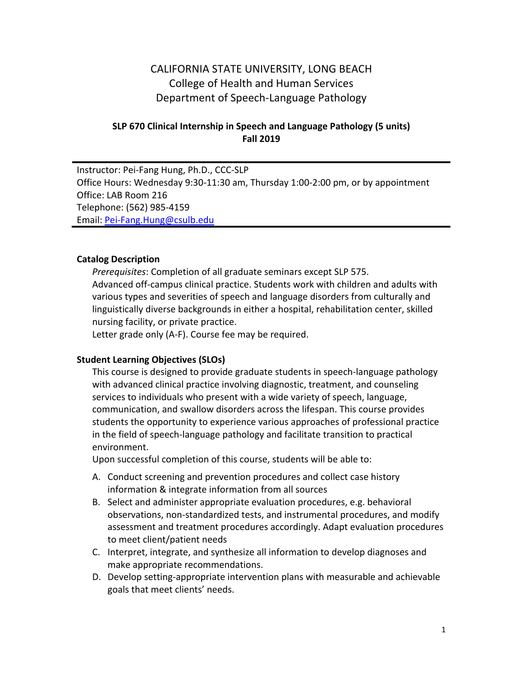# CALIFORNIA STATE UNIVERSITY, LONG BEACH College of Health and Human Services Department of Speech-Language Pathology

### **SLP 670 Clinical Internship in Speech and Language Pathology (5 units) Fall 2019**

Instructor: Pei-Fang Hung, Ph.D., CCC-SLP Office Hours: Wednesday 9:30-11:30 am, Thursday 1:00-2:00 pm, or by appointment Office: LAB Room 216 Telephone: (562) 985-4159 Email: Pei-Fang.Hung@csulb.edu

#### **Catalog Description**

*Prerequisites*: Completion of all graduate seminars except SLP 575. Advanced off-campus clinical practice. Students work with children and adults with various types and severities of speech and language disorders from culturally and linguistically diverse backgrounds in either a hospital, rehabilitation center, skilled nursing facility, or private practice.

Letter grade only (A-F). Course fee may be required.

#### **Student Learning Objectives (SLOs)**

This course is designed to provide graduate students in speech-language pathology with advanced clinical practice involving diagnostic, treatment, and counseling services to individuals who present with a wide variety of speech, language, communication, and swallow disorders across the lifespan. This course provides students the opportunity to experience various approaches of professional practice in the field of speech-language pathology and facilitate transition to practical environment.

Upon successful completion of this course, students will be able to:

- A. Conduct screening and prevention procedures and collect case history information & integrate information from all sources
- B. Select and administer appropriate evaluation procedures, e.g. behavioral observations, non-standardized tests, and instrumental procedures, and modify assessment and treatment procedures accordingly. Adapt evaluation procedures to meet client/patient needs
- C. Interpret, integrate, and synthesize all information to develop diagnoses and make appropriate recommendations.
- D. Develop setting-appropriate intervention plans with measurable and achievable goals that meet clients' needs.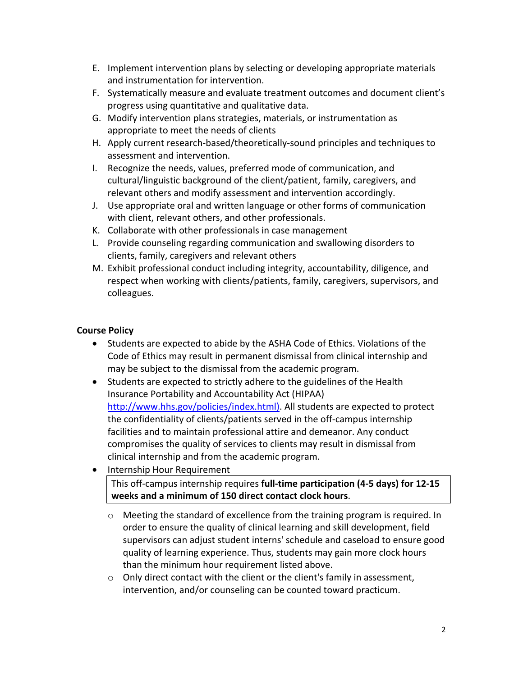- E. Implement intervention plans by selecting or developing appropriate materials and instrumentation for intervention.
- F. Systematically measure and evaluate treatment outcomes and document client's progress using quantitative and qualitative data.
- G. Modify intervention plans strategies, materials, or instrumentation as appropriate to meet the needs of clients
- H. Apply current research-based/theoretically-sound principles and techniques to assessment and intervention.
- I. Recognize the needs, values, preferred mode of communication, and cultural/linguistic background of the client/patient, family, caregivers, and relevant others and modify assessment and intervention accordingly.
- J. Use appropriate oral and written language or other forms of communication with client, relevant others, and other professionals.
- K. Collaborate with other professionals in case management
- L. Provide counseling regarding communication and swallowing disorders to clients, family, caregivers and relevant others
- M. Exhibit professional conduct including integrity, accountability, diligence, and respect when working with clients/patients, family, caregivers, supervisors, and colleagues.

# **Course Policy**

- Students are expected to abide by the ASHA Code of Ethics. Violations of the Code of Ethics may result in permanent dismissal from clinical internship and may be subject to the dismissal from the academic program.
- Students are expected to strictly adhere to the guidelines of the Health Insurance Portability and Accountability Act (HIPAA) http://www.hhs.gov/policies/index.html). All students are expected to protect the confidentiality of clients/patients served in the off-campus internship facilities and to maintain professional attire and demeanor. Any conduct compromises the quality of services to clients may result in dismissal from clinical internship and from the academic program.
- Internship Hour Requirement This off-campus internship requires **full-time participation (4-5 days) for 12-15 weeks and a minimum of 150 direct contact clock hours**.
	- o Meeting the standard of excellence from the training program is required. In order to ensure the quality of clinical learning and skill development, field supervisors can adjust student interns' schedule and caseload to ensure good quality of learning experience. Thus, students may gain more clock hours than the minimum hour requirement listed above.
	- o Only direct contact with the client or the client's family in assessment, intervention, and/or counseling can be counted toward practicum.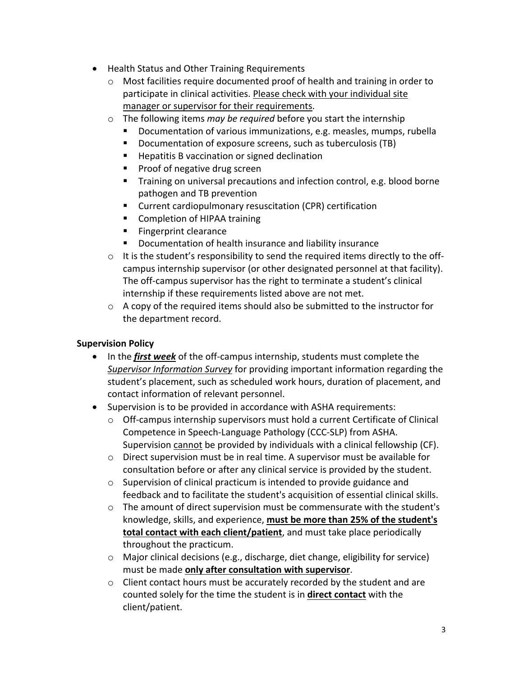- Health Status and Other Training Requirements
	- $\circ$  Most facilities require documented proof of health and training in order to participate in clinical activities. Please check with your individual site manager or supervisor for their requirements.
	- o The following items *may be required* before you start the internship
		- Documentation of various immunizations, e.g. measles, mumps, rubella
		- Documentation of exposure screens, such as tuberculosis (TB)
		- Hepatitis B vaccination or signed declination
		- Proof of negative drug screen
		- Training on universal precautions and infection control, e.g. blood borne pathogen and TB prevention
		- Current cardiopulmonary resuscitation (CPR) certification
		- Completion of HIPAA training
		- Fingerprint clearance
		- Documentation of health insurance and liability insurance
	- $\circ$  It is the student's responsibility to send the required items directly to the offcampus internship supervisor (or other designated personnel at that facility). The off-campus supervisor has the right to terminate a student's clinical internship if these requirements listed above are not met.
	- $\circ$  A copy of the required items should also be submitted to the instructor for the department record.

## **Supervision Policy**

- In the *first week* of the off-campus internship, students must complete the *Supervisor Information Survey* for providing important information regarding the student's placement, such as scheduled work hours, duration of placement, and contact information of relevant personnel.
- Supervision is to be provided in accordance with ASHA requirements:
	- $\circ$  Off-campus internship supervisors must hold a current Certificate of Clinical Competence in Speech-Language Pathology (CCC-SLP) from ASHA. Supervision cannot be provided by individuals with a clinical fellowship (CF).
	- $\circ$  Direct supervision must be in real time. A supervisor must be available for consultation before or after any clinical service is provided by the student.
	- o Supervision of clinical practicum is intended to provide guidance and feedback and to facilitate the student's acquisition of essential clinical skills.
	- o The amount of direct supervision must be commensurate with the student's knowledge, skills, and experience, **must be more than 25% of the student's total contact with each client/patient**, and must take place periodically throughout the practicum.
	- o Major clinical decisions (e.g., discharge, diet change, eligibility for service) must be made **only after consultation with supervisor**.
	- o Client contact hours must be accurately recorded by the student and are counted solely for the time the student is in **direct contact** with the client/patient.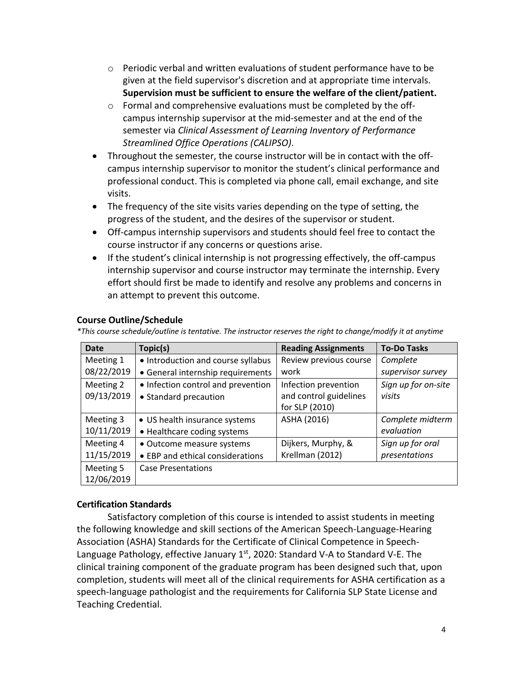- $\circ$  Periodic verbal and written evaluations of student performance have to be given at the field supervisor's discretion and at appropriate time intervals. **Supervision must be sufficient to ensure the welfare of the client/patient.**
- o Formal and comprehensive evaluations must be completed by the offcampus internship supervisor at the mid-semester and at the end of the semester via *Clinical Assessment of Learning Inventory of Performance Streamlined Office Operations (CALIPSO)*.
- Throughout the semester, the course instructor will be in contact with the offcampus internship supervisor to monitor the student's clinical performance and professional conduct. This is completed via phone call, email exchange, and site visits.
- The frequency of the site visits varies depending on the type of setting, the progress of the student, and the desires of the supervisor or student.
- Off-campus internship supervisors and students should feel free to contact the course instructor if any concerns or questions arise.
- If the student's clinical internship is not progressing effectively, the off-campus internship supervisor and course instructor may terminate the internship. Every effort should first be made to identify and resolve any problems and concerns in an attempt to prevent this outcome.

| Date       | Topic(s)                           | <b>Reading Assignments</b> | <b>To-Do Tasks</b>  |
|------------|------------------------------------|----------------------------|---------------------|
| Meeting 1  | • Introduction and course syllabus | Review previous course     | Complete            |
| 08/22/2019 | • General internship requirements  | work                       | supervisor survey   |
| Meeting 2  | • Infection control and prevention | Infection prevention       | Sign up for on-site |
| 09/13/2019 | • Standard precaution              | and control guidelines     | visits              |
|            |                                    | for SLP (2010)             |                     |
| Meeting 3  | • US health insurance systems      | ASHA (2016)                | Complete midterm    |
| 10/11/2019 | • Healthcare coding systems        |                            | evaluation          |
| Meeting 4  | • Outcome measure systems          | Dijkers, Murphy, &         | Sign up for oral    |
| 11/15/2019 | • EBP and ethical considerations   | Krellman (2012)            | presentations       |
| Meeting 5  | <b>Case Presentations</b>          |                            |                     |
| 12/06/2019 |                                    |                            |                     |

#### **Course Outline/Schedule**

*\*This course schedule/outline is tentative. The instructor reserves the right to change/modify it at anytime*

### **Certification Standards**

Satisfactory completion of this course is intended to assist students in meeting the following knowledge and skill sections of the American Speech-Language-Hearing Association (ASHA) Standards for the Certificate of Clinical Competence in Speech-Language Pathology, effective January  $1<sup>st</sup>$ , 2020: Standard V-A to Standard V-E. The clinical training component of the graduate program has been designed such that, upon completion, students will meet all of the clinical requirements for ASHA certification as a speech-language pathologist and the requirements for California SLP State License and Teaching Credential.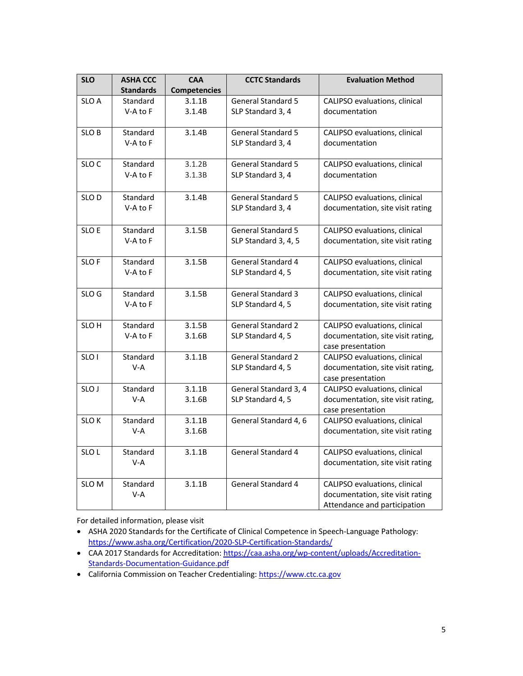| <b>SLO</b>       | <b>ASHA CCC</b>  | <b>CAA</b>          | <b>CCTC Standards</b>     | <b>Evaluation Method</b>          |
|------------------|------------------|---------------------|---------------------------|-----------------------------------|
|                  | <b>Standards</b> | <b>Competencies</b> |                           |                                   |
| SLO A            | Standard         | 3.1.1B              | <b>General Standard 5</b> | CALIPSO evaluations, clinical     |
|                  | V-A to F         | 3.1.4B              | SLP Standard 3, 4         | documentation                     |
|                  |                  |                     |                           |                                   |
| SLO B            | Standard         | 3.1.4B              | <b>General Standard 5</b> | CALIPSO evaluations, clinical     |
|                  | V-A to F         |                     | SLP Standard 3, 4         | documentation                     |
| SLO <sub>C</sub> | Standard         | 3.1.2B              | <b>General Standard 5</b> | CALIPSO evaluations, clinical     |
|                  | V-A to F         | 3.1.3B              | SLP Standard 3, 4         | documentation                     |
|                  |                  |                     |                           |                                   |
| SLO D            | Standard         | 3.1.4B              | <b>General Standard 5</b> | CALIPSO evaluations, clinical     |
|                  | V-A to F         |                     | SLP Standard 3, 4         | documentation, site visit rating  |
| SLO E            | Standard         | 3.1.5B              | <b>General Standard 5</b> | CALIPSO evaluations, clinical     |
|                  | V-A to F         |                     | SLP Standard 3, 4, 5      | documentation, site visit rating  |
|                  |                  |                     |                           |                                   |
| <b>SLOF</b>      | Standard         | 3.1.5B              | General Standard 4        | CALIPSO evaluations, clinical     |
|                  | V-A to F         |                     | SLP Standard 4, 5         | documentation, site visit rating  |
| SLO G            | Standard         | 3.1.5B              | <b>General Standard 3</b> | CALIPSO evaluations, clinical     |
|                  | V-A to F         |                     | SLP Standard 4, 5         | documentation, site visit rating  |
|                  |                  |                     |                           |                                   |
| SLO <sub>H</sub> | Standard         | 3.1.5B              | <b>General Standard 2</b> | CALIPSO evaluations, clinical     |
|                  | V-A to F         | 3.1.6B              | SLP Standard 4, 5         | documentation, site visit rating, |
|                  |                  |                     |                           | case presentation                 |
| SLO <sub>1</sub> | Standard         | 3.1.1B              | <b>General Standard 2</b> | CALIPSO evaluations, clinical     |
|                  | $V-A$            |                     | SLP Standard 4, 5         | documentation, site visit rating, |
|                  |                  |                     |                           | case presentation                 |
| SLO J            | Standard         | 3.1.1B              | General Standard 3, 4     | CALIPSO evaluations, clinical     |
|                  | V-A              | 3.1.6B              | SLP Standard 4, 5         | documentation, site visit rating, |
|                  |                  |                     |                           | case presentation                 |
| <b>SLOK</b>      | Standard         | 3.1.1B              | General Standard 4, 6     | CALIPSO evaluations, clinical     |
|                  | V-A              | 3.1.6B              |                           | documentation, site visit rating  |
| SLO <sub>L</sub> | Standard         | 3.1.1B              | <b>General Standard 4</b> | CALIPSO evaluations, clinical     |
|                  | V-A              |                     |                           | documentation, site visit rating  |
| SLO M            | Standard         | 3.1.1B              | <b>General Standard 4</b> | CALIPSO evaluations, clinical     |
|                  | V-A              |                     |                           | documentation, site visit rating  |
|                  |                  |                     |                           | Attendance and participation      |

For detailed information, please visit

- ASHA 2020 Standards for the Certificate of Clinical Competence in Speech-Language Pathology: https://www.asha.org/Certification/2020-SLP-Certification-Standards/
- CAA 2017 Standards for Accreditation: https://caa.asha.org/wp-content/uploads/Accreditation-Standards-Documentation-Guidance.pdf
- California Commission on Teacher Credentialing: https://www.ctc.ca.gov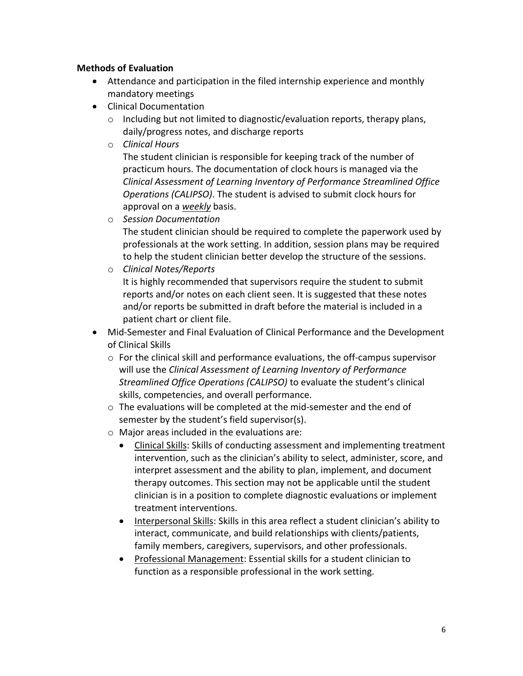#### **Methods of Evaluation**

- Attendance and participation in the filed internship experience and monthly mandatory meetings
- Clinical Documentation
	- o Including but not limited to diagnostic/evaluation reports, therapy plans, daily/progress notes, and discharge reports
	- o *Clinical Hours*

The student clinician is responsible for keeping track of the number of practicum hours. The documentation of clock hours is managed via the *Clinical Assessment of Learning Inventory of Performance Streamlined Office Operations (CALIPSO)*. The student is advised to submit clock hours for approval on a *weekly* basis.

o *Session Documentation*

The student clinician should be required to complete the paperwork used by professionals at the work setting. In addition, session plans may be required to help the student clinician better develop the structure of the sessions.

o *Clinical Notes/Reports*

It is highly recommended that supervisors require the student to submit reports and/or notes on each client seen. It is suggested that these notes and/or reports be submitted in draft before the material is included in a patient chart or client file.

- Mid-Semester and Final Evaluation of Clinical Performance and the Development of Clinical Skills
	- $\circ$  For the clinical skill and performance evaluations, the off-campus supervisor will use the *Clinical Assessment of Learning Inventory of Performance Streamlined Office Operations (CALIPSO)* to evaluate the student's clinical skills, competencies, and overall performance.
	- o The evaluations will be completed at the mid-semester and the end of semester by the student's field supervisor(s).
	- o Major areas included in the evaluations are:
		- Clinical Skills: Skills of conducting assessment and implementing treatment intervention, such as the clinician's ability to select, administer, score, and interpret assessment and the ability to plan, implement, and document therapy outcomes. This section may not be applicable until the student clinician is in a position to complete diagnostic evaluations or implement treatment interventions.
		- Interpersonal Skills: Skills in this area reflect a student clinician's ability to interact, communicate, and build relationships with clients/patients, family members, caregivers, supervisors, and other professionals.
		- Professional Management: Essential skills for a student clinician to function as a responsible professional in the work setting.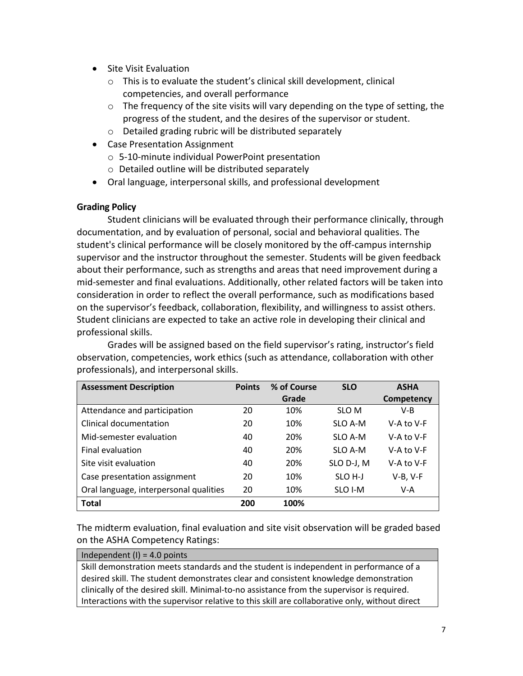- Site Visit Evaluation
	- o This is to evaluate the student's clinical skill development, clinical competencies, and overall performance
	- $\circ$  The frequency of the site visits will vary depending on the type of setting, the progress of the student, and the desires of the supervisor or student.
	- o Detailed grading rubric will be distributed separately
- Case Presentation Assignment
	- o 5-10-minute individual PowerPoint presentation
	- o Detailed outline will be distributed separately
- Oral language, interpersonal skills, and professional development

### **Grading Policy**

Student clinicians will be evaluated through their performance clinically, through documentation, and by evaluation of personal, social and behavioral qualities. The student's clinical performance will be closely monitored by the off-campus internship supervisor and the instructor throughout the semester. Students will be given feedback about their performance, such as strengths and areas that need improvement during a mid-semester and final evaluations. Additionally, other related factors will be taken into consideration in order to reflect the overall performance, such as modifications based on the supervisor's feedback, collaboration, flexibility, and willingness to assist others. Student clinicians are expected to take an active role in developing their clinical and professional skills.

Grades will be assigned based on the field supervisor's rating, instructor's field observation, competencies, work ethics (such as attendance, collaboration with other professionals), and interpersonal skills.

| <b>Assessment Description</b>          | <b>Points</b> | % of Course | <b>SLO</b>          | <b>ASHA</b> |
|----------------------------------------|---------------|-------------|---------------------|-------------|
|                                        |               | Grade       |                     | Competency  |
| Attendance and participation           | 20            | 10%         | SLO M               | $V-B$       |
| Clinical documentation                 | 20            | 10%         | SLO A-M             | V-A to V-F  |
| Mid-semester evaluation                | 40            | 20%         | SLO A-M             | V-A to V-F  |
| Final evaluation                       | 40            | 20%         | SLO A-M             | V-A to V-F  |
| Site visit evaluation                  | 40            | 20%         | SLO D-J, M          | V-A to V-F  |
| Case presentation assignment           | 20            | 10%         | SLO <sub>H</sub> -J | $V-B, V-F$  |
| Oral language, interpersonal qualities | 20            | 10%         | SLO I-M             | V-A         |
| <b>Total</b>                           | 200           | 100%        |                     |             |

The midterm evaluation, final evaluation and site visit observation will be graded based on the ASHA Competency Ratings:

#### Independent  $(I) = 4.0$  points

Skill demonstration meets standards and the student is independent in performance of a desired skill. The student demonstrates clear and consistent knowledge demonstration clinically of the desired skill. Minimal-to-no assistance from the supervisor is required. Interactions with the supervisor relative to this skill are collaborative only, without direct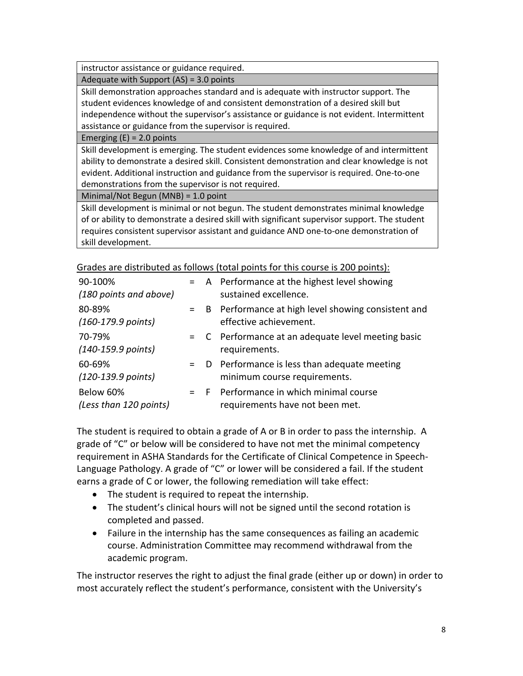instructor assistance or guidance required.

Adequate with Support (AS) = 3.0 points

Skill demonstration approaches standard and is adequate with instructor support. The student evidences knowledge of and consistent demonstration of a desired skill but independence without the supervisor's assistance or guidance is not evident. Intermittent assistance or guidance from the supervisor is required.

Emerging  $(E) = 2.0$  points

Skill development is emerging. The student evidences some knowledge of and intermittent ability to demonstrate a desired skill. Consistent demonstration and clear knowledge is not evident. Additional instruction and guidance from the supervisor is required. One-to-one demonstrations from the supervisor is not required.

Minimal/Not Begun (MNB) = 1.0 point

Skill development is minimal or not begun. The student demonstrates minimal knowledge of or ability to demonstrate a desired skill with significant supervisor support. The student requires consistent supervisor assistant and guidance AND one-to-one demonstration of skill development.

| 90-100%<br>(180 points and above)      |  | = A Performance at the highest level showing<br>sustained excellence.           |
|----------------------------------------|--|---------------------------------------------------------------------------------|
| 80-89%<br>$(160-179.9 \text{ points})$ |  | = B Performance at high level showing consistent and<br>effective achievement.  |
| 70-79%<br>$(140-159.9 \text{ points})$ |  | = C Performance at an adequate level meeting basic<br>requirements.             |
| 60-69%<br>(120-139.9 points)           |  | $=$ D Performance is less than adequate meeting<br>minimum course requirements. |
| Below 60%<br>(Less than 120 points)    |  | = F Performance in which minimal course<br>requirements have not been met.      |

Grades are distributed as follows (total points for this course is 200 points):

The student is required to obtain a grade of A or B in order to pass the internship. A grade of "C" or below will be considered to have not met the minimal competency requirement in ASHA Standards for the Certificate of Clinical Competence in Speech-Language Pathology. A grade of "C" or lower will be considered a fail. If the student earns a grade of C or lower, the following remediation will take effect:

- The student is required to repeat the internship.
- The student's clinical hours will not be signed until the second rotation is completed and passed.
- Failure in the internship has the same consequences as failing an academic course. Administration Committee may recommend withdrawal from the academic program.

The instructor reserves the right to adjust the final grade (either up or down) in order to most accurately reflect the student's performance, consistent with the University's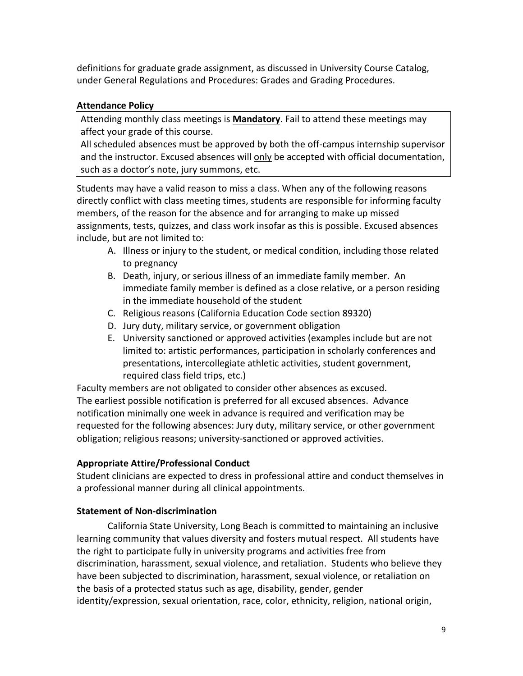definitions for graduate grade assignment, as discussed in University Course Catalog, under General Regulations and Procedures: Grades and Grading Procedures.

## **Attendance Policy**

Attending monthly class meetings is **Mandatory**. Fail to attend these meetings may affect your grade of this course.

All scheduled absences must be approved by both the off-campus internship supervisor and the instructor. Excused absences will only be accepted with official documentation, such as a doctor's note, jury summons, etc.

Students may have a valid reason to miss a class. When any of the following reasons directly conflict with class meeting times, students are responsible for informing faculty members, of the reason for the absence and for arranging to make up missed assignments, tests, quizzes, and class work insofar as this is possible. Excused absences include, but are not limited to:

- A. Illness or injury to the student, or medical condition, including those related to pregnancy
- B. Death, injury, or serious illness of an immediate family member. An immediate family member is defined as a close relative, or a person residing in the immediate household of the student
- C. Religious reasons (California Education Code section 89320)
- D. Jury duty, military service, or government obligation
- E. University sanctioned or approved activities (examples include but are not limited to: artistic performances, participation in scholarly conferences and presentations, intercollegiate athletic activities, student government, required class field trips, etc.)

Faculty members are not obligated to consider other absences as excused. The earliest possible notification is preferred for all excused absences. Advance notification minimally one week in advance is required and verification may be requested for the following absences: Jury duty, military service, or other government obligation; religious reasons; university-sanctioned or approved activities.

# **Appropriate Attire/Professional Conduct**

Student clinicians are expected to dress in professional attire and conduct themselves in a professional manner during all clinical appointments.

# **Statement of Non-discrimination**

California State University, Long Beach is committed to maintaining an inclusive learning community that values diversity and fosters mutual respect. All students have the right to participate fully in university programs and activities free from discrimination, harassment, sexual violence, and retaliation. Students who believe they have been subjected to discrimination, harassment, sexual violence, or retaliation on the basis of a protected status such as age, disability, gender, gender identity/expression, sexual orientation, race, color, ethnicity, religion, national origin,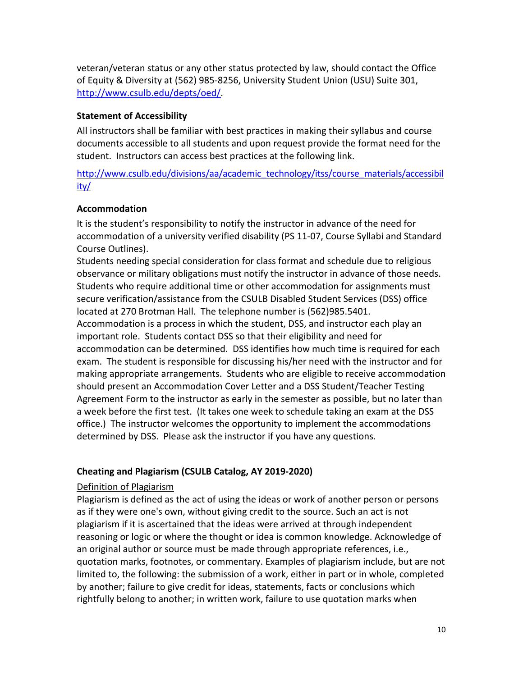veteran/veteran status or any other status protected by law, should contact the Office of Equity & Diversity at (562) 985-8256, University Student Union (USU) Suite 301, http://www.csulb.edu/depts/oed/.

## **Statement of Accessibility**

All instructors shall be familiar with best practices in making their syllabus and course documents accessible to all students and upon request provide the format need for the student. Instructors can access best practices at the following link.

http://www.csulb.edu/divisions/aa/academic\_technology/itss/course\_materials/accessibil ity/

# **Accommodation**

It is the student's responsibility to notify the instructor in advance of the need for accommodation of a university verified disability (PS 11-07, Course Syllabi and Standard Course Outlines).

Students needing special consideration for class format and schedule due to religious observance or military obligations must notify the instructor in advance of those needs. Students who require additional time or other accommodation for assignments must secure verification/assistance from the CSULB Disabled Student Services (DSS) office located at 270 Brotman Hall. The telephone number is (562)985.5401. Accommodation is a process in which the student, DSS, and instructor each play an important role. Students contact DSS so that their eligibility and need for accommodation can be determined. DSS identifies how much time is required for each exam. The student is responsible for discussing his/her need with the instructor and for making appropriate arrangements. Students who are eligible to receive accommodation should present an Accommodation Cover Letter and a DSS Student/Teacher Testing Agreement Form to the instructor as early in the semester as possible, but no later than a week before the first test. (It takes one week to schedule taking an exam at the DSS office.) The instructor welcomes the opportunity to implement the accommodations determined by DSS. Please ask the instructor if you have any questions.

# **Cheating and Plagiarism (CSULB Catalog, AY 2019-2020)**

### Definition of Plagiarism

Plagiarism is defined as the act of using the ideas or work of another person or persons as if they were one's own, without giving credit to the source. Such an act is not plagiarism if it is ascertained that the ideas were arrived at through independent reasoning or logic or where the thought or idea is common knowledge. Acknowledge of an original author or source must be made through appropriate references, i.e., quotation marks, footnotes, or commentary. Examples of plagiarism include, but are not limited to, the following: the submission of a work, either in part or in whole, completed by another; failure to give credit for ideas, statements, facts or conclusions which rightfully belong to another; in written work, failure to use quotation marks when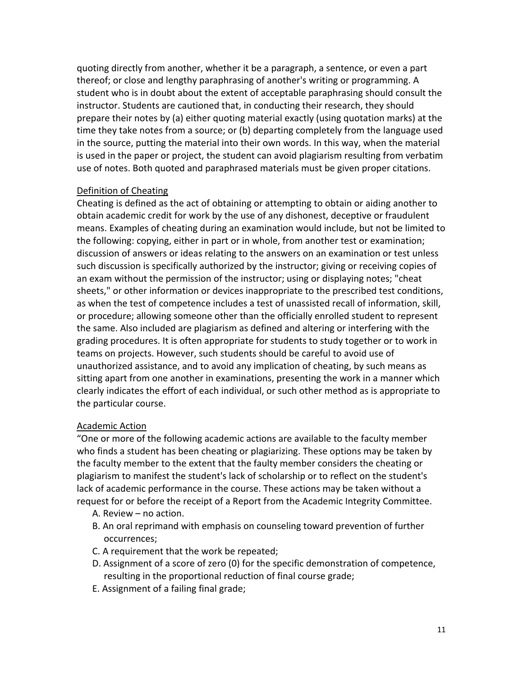quoting directly from another, whether it be a paragraph, a sentence, or even a part thereof; or close and lengthy paraphrasing of another's writing or programming. A student who is in doubt about the extent of acceptable paraphrasing should consult the instructor. Students are cautioned that, in conducting their research, they should prepare their notes by (a) either quoting material exactly (using quotation marks) at the time they take notes from a source; or (b) departing completely from the language used in the source, putting the material into their own words. In this way, when the material is used in the paper or project, the student can avoid plagiarism resulting from verbatim use of notes. Both quoted and paraphrased materials must be given proper citations.

#### Definition of Cheating

Cheating is defined as the act of obtaining or attempting to obtain or aiding another to obtain academic credit for work by the use of any dishonest, deceptive or fraudulent means. Examples of cheating during an examination would include, but not be limited to the following: copying, either in part or in whole, from another test or examination; discussion of answers or ideas relating to the answers on an examination or test unless such discussion is specifically authorized by the instructor; giving or receiving copies of an exam without the permission of the instructor; using or displaying notes; "cheat sheets," or other information or devices inappropriate to the prescribed test conditions, as when the test of competence includes a test of unassisted recall of information, skill, or procedure; allowing someone other than the officially enrolled student to represent the same. Also included are plagiarism as defined and altering or interfering with the grading procedures. It is often appropriate for students to study together or to work in teams on projects. However, such students should be careful to avoid use of unauthorized assistance, and to avoid any implication of cheating, by such means as sitting apart from one another in examinations, presenting the work in a manner which clearly indicates the effort of each individual, or such other method as is appropriate to the particular course.

#### Academic Action

"One or more of the following academic actions are available to the faculty member who finds a student has been cheating or plagiarizing. These options may be taken by the faculty member to the extent that the faulty member considers the cheating or plagiarism to manifest the student's lack of scholarship or to reflect on the student's lack of academic performance in the course. These actions may be taken without a request for or before the receipt of a Report from the Academic Integrity Committee.

- A. Review no action.
- B. An oral reprimand with emphasis on counseling toward prevention of further occurrences;
- C. A requirement that the work be repeated;
- D. Assignment of a score of zero (0) for the specific demonstration of competence, resulting in the proportional reduction of final course grade;
- E. Assignment of a failing final grade;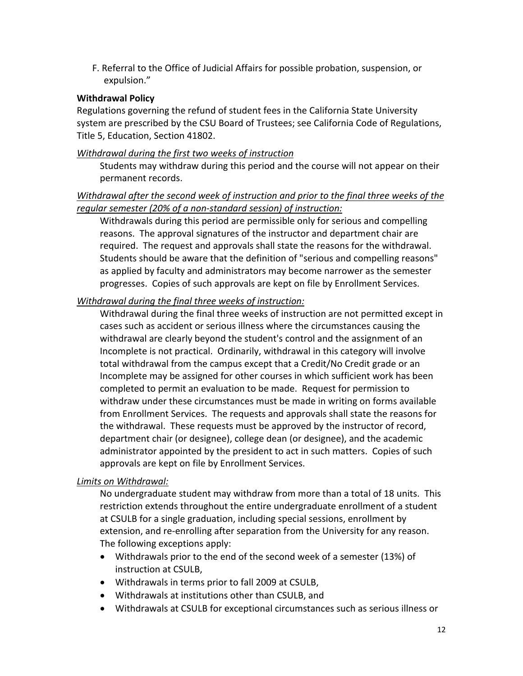F. Referral to the Office of Judicial Affairs for possible probation, suspension, or expulsion."

#### **Withdrawal Policy**

Regulations governing the refund of student fees in the California State University system are prescribed by the CSU Board of Trustees; see California Code of Regulations, Title 5, Education, Section 41802.

#### *Withdrawal during the first two weeks of instruction*

Students may withdraw during this period and the course will not appear on their permanent records.

### *Withdrawal after the second week of instruction and prior to the final three weeks of the regular semester (20% of a non-standard session) of instruction:*

Withdrawals during this period are permissible only for serious and compelling reasons. The approval signatures of the instructor and department chair are required. The request and approvals shall state the reasons for the withdrawal. Students should be aware that the definition of "serious and compelling reasons" as applied by faculty and administrators may become narrower as the semester progresses. Copies of such approvals are kept on file by Enrollment Services.

### *Withdrawal during the final three weeks of instruction:*

Withdrawal during the final three weeks of instruction are not permitted except in cases such as accident or serious illness where the circumstances causing the withdrawal are clearly beyond the student's control and the assignment of an Incomplete is not practical. Ordinarily, withdrawal in this category will involve total withdrawal from the campus except that a Credit/No Credit grade or an Incomplete may be assigned for other courses in which sufficient work has been completed to permit an evaluation to be made. Request for permission to withdraw under these circumstances must be made in writing on forms available from Enrollment Services. The requests and approvals shall state the reasons for the withdrawal. These requests must be approved by the instructor of record, department chair (or designee), college dean (or designee), and the academic administrator appointed by the president to act in such matters. Copies of such approvals are kept on file by Enrollment Services.

### *Limits on Withdrawal:*

No undergraduate student may withdraw from more than a total of 18 units. This restriction extends throughout the entire undergraduate enrollment of a student at CSULB for a single graduation, including special sessions, enrollment by extension, and re-enrolling after separation from the University for any reason. The following exceptions apply:

- Withdrawals prior to the end of the second week of a semester (13%) of instruction at CSULB,
- Withdrawals in terms prior to fall 2009 at CSULB,
- Withdrawals at institutions other than CSULB, and
- Withdrawals at CSULB for exceptional circumstances such as serious illness or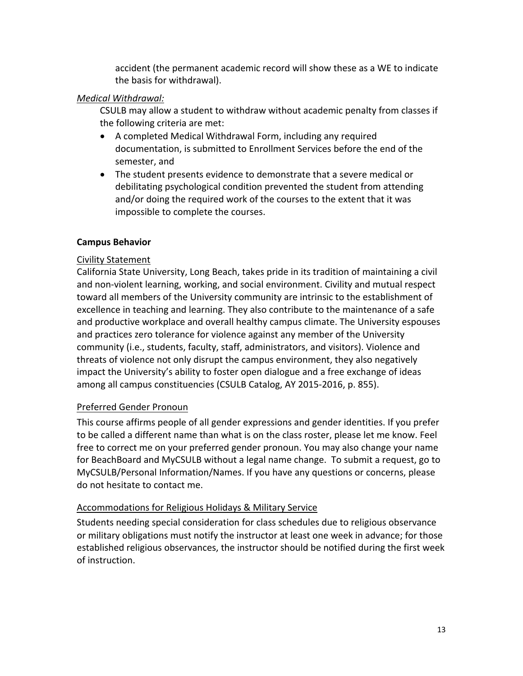accident (the permanent academic record will show these as a WE to indicate the basis for withdrawal).

### *Medical Withdrawal:*

CSULB may allow a student to withdraw without academic penalty from classes if the following criteria are met:

- A completed Medical Withdrawal Form, including any required documentation, is submitted to Enrollment Services before the end of the semester, and
- The student presents evidence to demonstrate that a severe medical or debilitating psychological condition prevented the student from attending and/or doing the required work of the courses to the extent that it was impossible to complete the courses.

# **Campus Behavior**

# Civility Statement

California State University, Long Beach, takes pride in its tradition of maintaining a civil and non-violent learning, working, and social environment. Civility and mutual respect toward all members of the University community are intrinsic to the establishment of excellence in teaching and learning. They also contribute to the maintenance of a safe and productive workplace and overall healthy campus climate. The University espouses and practices zero tolerance for violence against any member of the University community (i.e., students, faculty, staff, administrators, and visitors). Violence and threats of violence not only disrupt the campus environment, they also negatively impact the University's ability to foster open dialogue and a free exchange of ideas among all campus constituencies (CSULB Catalog, AY 2015-2016, p. 855).

### Preferred Gender Pronoun

This course affirms people of all gender expressions and gender identities. If you prefer to be called a different name than what is on the class roster, please let me know. Feel free to correct me on your preferred gender pronoun. You may also change your name for BeachBoard and MyCSULB without a legal name change. To submit a request, go to MyCSULB/Personal Information/Names. If you have any questions or concerns, please do not hesitate to contact me.

# Accommodations for Religious Holidays & Military Service

Students needing special consideration for class schedules due to religious observance or military obligations must notify the instructor at least one week in advance; for those established religious observances, the instructor should be notified during the first week of instruction.